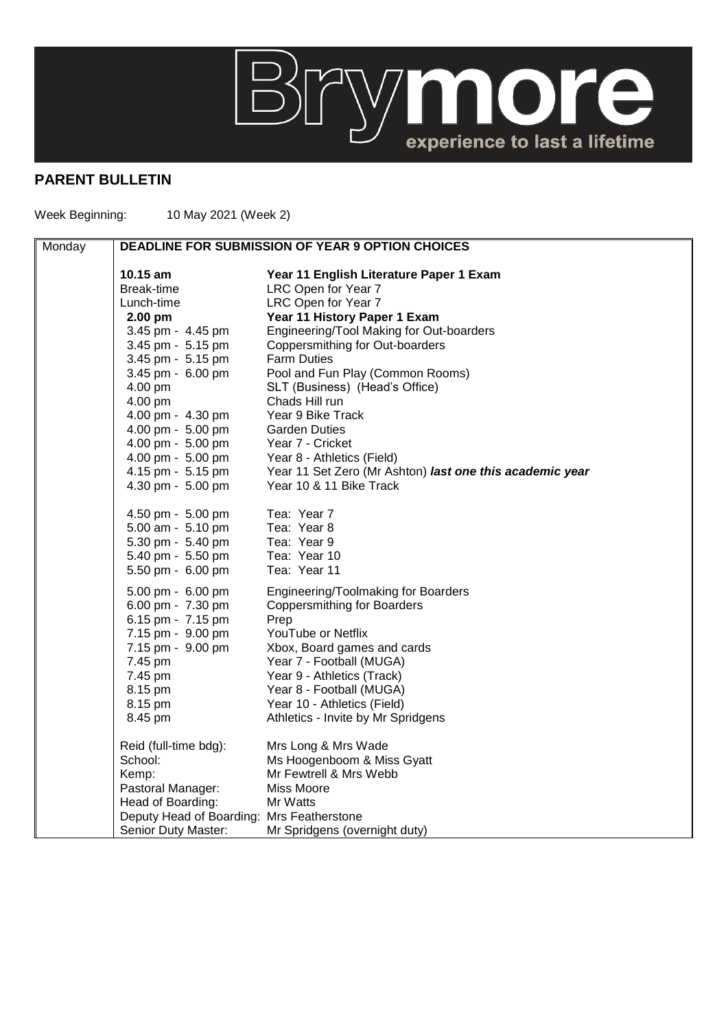## **BITYMORE**

## **PARENT BULLETIN**

Week Beginning: 10 May 2021 (Week 2)

| Monday | <b>DEADLINE FOR SUBMISSION OF YEAR 9 OPTION CHOICES</b> |                                                          |
|--------|---------------------------------------------------------|----------------------------------------------------------|
|        | 10.15 am                                                | Year 11 English Literature Paper 1 Exam                  |
|        | Break-time                                              | LRC Open for Year 7                                      |
|        | Lunch-time                                              | LRC Open for Year 7                                      |
|        | 2.00 pm                                                 | Year 11 History Paper 1 Exam                             |
|        | 3.45 pm - 4.45 pm                                       | Engineering/Tool Making for Out-boarders                 |
|        | 3.45 pm - 5.15 pm                                       | Coppersmithing for Out-boarders                          |
|        | 3.45 pm - 5.15 pm                                       | <b>Farm Duties</b>                                       |
|        | 3.45 pm - 6.00 pm                                       | Pool and Fun Play (Common Rooms)                         |
|        | 4.00 pm                                                 | SLT (Business) (Head's Office)                           |
|        | 4.00 pm                                                 | Chads Hill run                                           |
|        | 4.00 pm - 4.30 pm                                       | Year 9 Bike Track                                        |
|        | 4.00 pm - 5.00 pm                                       | <b>Garden Duties</b>                                     |
|        | 4.00 pm - 5.00 pm                                       | Year 7 - Cricket                                         |
|        | 4.00 pm - 5.00 pm                                       | Year 8 - Athletics (Field)                               |
|        | 4.15 pm - 5.15 pm                                       | Year 11 Set Zero (Mr Ashton) last one this academic year |
|        | 4.30 pm - 5.00 pm                                       | Year 10 & 11 Bike Track                                  |
|        | 4.50 pm - 5.00 pm                                       | Tea: Year 7                                              |
|        | 5.00 am - 5.10 pm                                       | Tea: Year 8                                              |
|        | 5.30 pm - 5.40 pm                                       | Tea: Year 9                                              |
|        | 5.40 pm - 5.50 pm                                       | Tea: Year 10                                             |
|        | 5.50 pm - 6.00 pm                                       | Tea: Year 11                                             |
|        | 5.00 pm - 6.00 pm                                       | Engineering/Toolmaking for Boarders                      |
|        | 6.00 pm - 7.30 pm                                       | <b>Coppersmithing for Boarders</b>                       |
|        | 6.15 pm - 7.15 pm                                       | Prep                                                     |
|        | 7.15 pm - 9.00 pm                                       | YouTube or Netflix                                       |
|        | 7.15 pm - 9.00 pm                                       | Xbox, Board games and cards                              |
|        | 7.45 pm                                                 | Year 7 - Football (MUGA)                                 |
|        | 7.45 pm                                                 | Year 9 - Athletics (Track)                               |
|        | 8.15 pm                                                 | Year 8 - Football (MUGA)                                 |
|        | 8.15 pm                                                 | Year 10 - Athletics (Field)                              |
|        | 8.45 pm                                                 | Athletics - Invite by Mr Spridgens                       |
|        | Reid (full-time bdg):                                   | Mrs Long & Mrs Wade                                      |
|        | School:                                                 | Ms Hoogenboom & Miss Gyatt                               |
|        | Kemp:                                                   | Mr Fewtrell & Mrs Webb                                   |
|        | Pastoral Manager:                                       | Miss Moore                                               |
|        | Head of Boarding:                                       | Mr Watts                                                 |
|        | Deputy Head of Boarding: Mrs Featherstone               |                                                          |
|        | Senior Duty Master:                                     | Mr Spridgens (overnight duty)                            |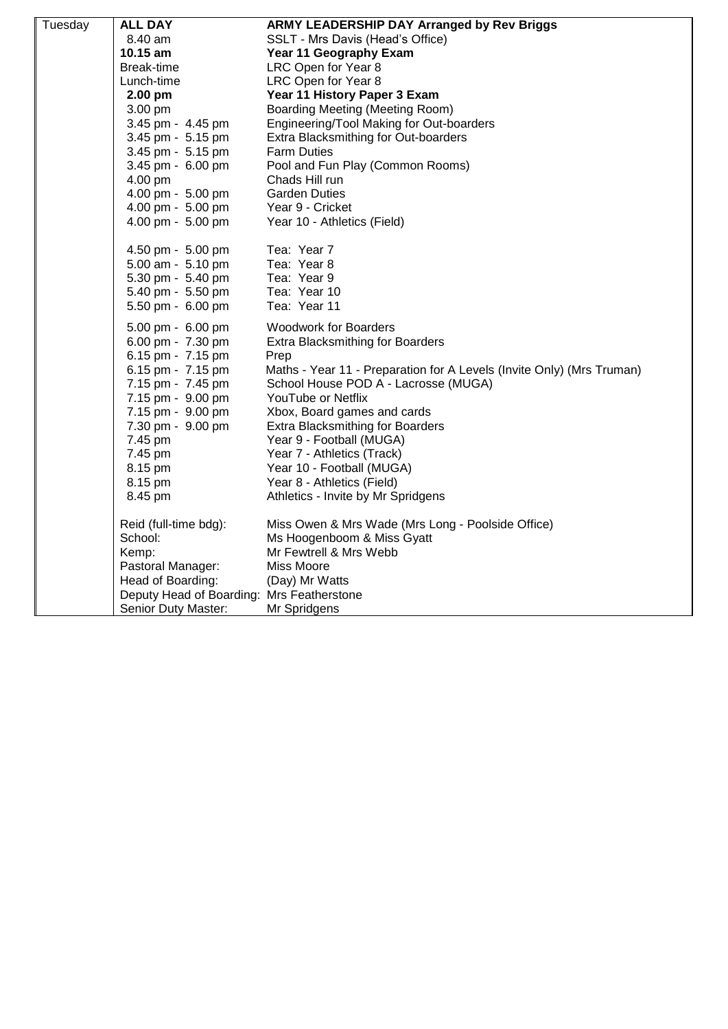| Tuesday | <b>ALL DAY</b>                            | ARMY LEADERSHIP DAY Arranged by Rev Briggs                            |
|---------|-------------------------------------------|-----------------------------------------------------------------------|
|         | 8.40 am                                   | SSLT - Mrs Davis (Head's Office)                                      |
|         | 10.15 am                                  | <b>Year 11 Geography Exam</b>                                         |
|         | Break-time                                | LRC Open for Year 8                                                   |
|         | Lunch-time                                | LRC Open for Year 8                                                   |
|         | 2.00 pm                                   | Year 11 History Paper 3 Exam                                          |
|         | 3.00 pm                                   | Boarding Meeting (Meeting Room)                                       |
|         | 3.45 pm - 4.45 pm                         | Engineering/Tool Making for Out-boarders                              |
|         | 3.45 pm - 5.15 pm                         | Extra Blacksmithing for Out-boarders                                  |
|         | 3.45 pm - 5.15 pm                         | <b>Farm Duties</b>                                                    |
|         | 3.45 pm - 6.00 pm                         | Pool and Fun Play (Common Rooms)                                      |
|         | 4.00 pm                                   | Chads Hill run                                                        |
|         | 4.00 pm - 5.00 pm                         | <b>Garden Duties</b>                                                  |
|         | 4.00 pm - 5.00 pm                         | Year 9 - Cricket                                                      |
|         | 4.00 pm - 5.00 pm                         | Year 10 - Athletics (Field)                                           |
|         | 4.50 pm - 5.00 pm                         | Tea: Year 7                                                           |
|         | 5.00 am - 5.10 pm                         | Tea: Year 8                                                           |
|         | 5.30 pm - 5.40 pm                         | Tea: Year 9                                                           |
|         | 5.40 pm - 5.50 pm                         | Tea: Year 10                                                          |
|         | 5.50 pm - 6.00 pm                         | Tea: Year 11                                                          |
|         | 5.00 pm - 6.00 pm                         | <b>Woodwork for Boarders</b>                                          |
|         | 6.00 pm - 7.30 pm                         | <b>Extra Blacksmithing for Boarders</b>                               |
|         | 6.15 pm - 7.15 pm                         | Prep                                                                  |
|         | 6.15 pm - 7.15 pm                         | Maths - Year 11 - Preparation for A Levels (Invite Only) (Mrs Truman) |
|         | 7.15 pm - 7.45 pm                         | School House POD A - Lacrosse (MUGA)                                  |
|         | 7.15 pm - 9.00 pm                         | YouTube or Netflix                                                    |
|         | 7.15 pm - 9.00 pm                         | Xbox, Board games and cards                                           |
|         | 7.30 pm - 9.00 pm                         | <b>Extra Blacksmithing for Boarders</b>                               |
|         | 7.45 pm                                   | Year 9 - Football (MUGA)                                              |
|         | 7.45 pm                                   | Year 7 - Athletics (Track)                                            |
|         | 8.15 pm                                   | Year 10 - Football (MUGA)                                             |
|         | 8.15 pm                                   | Year 8 - Athletics (Field)                                            |
|         | 8.45 pm                                   | Athletics - Invite by Mr Spridgens                                    |
|         | Reid (full-time bdg):                     | Miss Owen & Mrs Wade (Mrs Long - Poolside Office)                     |
|         | School:                                   | Ms Hoogenboom & Miss Gyatt                                            |
|         | Kemp:                                     | Mr Fewtrell & Mrs Webb                                                |
|         | Pastoral Manager:                         | Miss Moore                                                            |
|         | Head of Boarding:                         | (Day) Mr Watts                                                        |
|         | Deputy Head of Boarding: Mrs Featherstone |                                                                       |
|         | Senior Duty Master:                       | Mr Spridgens                                                          |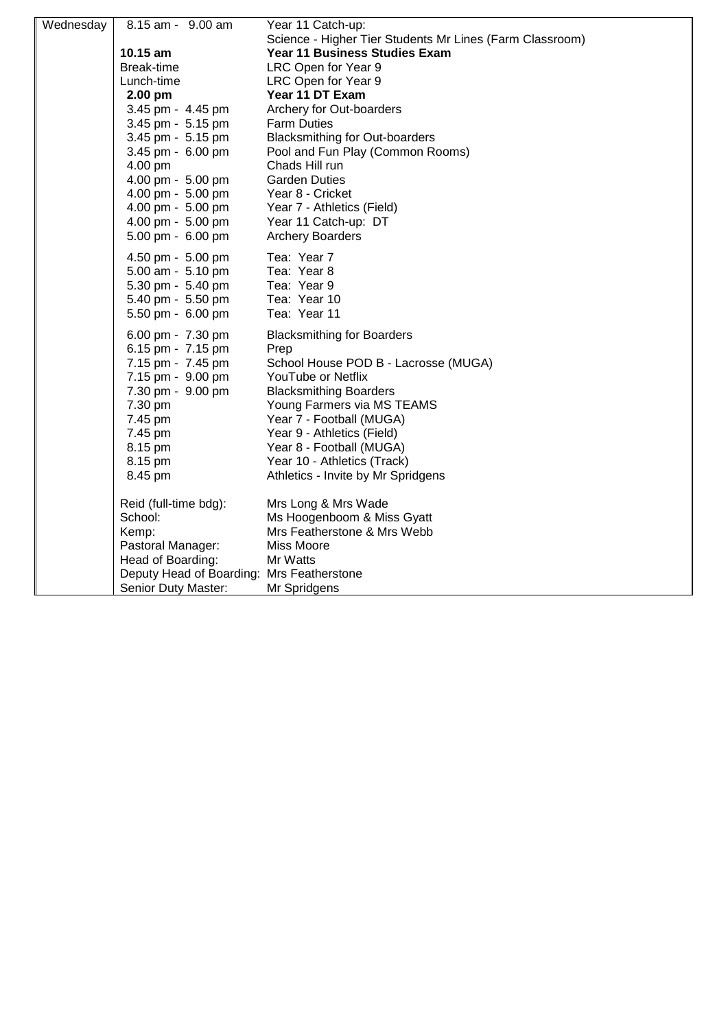| Wednesday | 8.15 am - 9.00 am                         | Year 11 Catch-up:                                        |
|-----------|-------------------------------------------|----------------------------------------------------------|
|           |                                           | Science - Higher Tier Students Mr Lines (Farm Classroom) |
|           | 10.15 am                                  | Year 11 Business Studies Exam                            |
|           | Break-time                                | LRC Open for Year 9                                      |
|           | Lunch-time                                | LRC Open for Year 9                                      |
|           | 2.00 pm                                   | Year 11 DT Exam                                          |
|           | 3.45 pm - 4.45 pm                         | Archery for Out-boarders                                 |
|           | 3.45 pm - 5.15 pm                         | <b>Farm Duties</b>                                       |
|           | 3.45 pm - 5.15 pm                         | <b>Blacksmithing for Out-boarders</b>                    |
|           | 3.45 pm - 6.00 pm                         | Pool and Fun Play (Common Rooms)                         |
|           | 4.00 pm                                   | Chads Hill run                                           |
|           | 4.00 pm - 5.00 pm                         | <b>Garden Duties</b>                                     |
|           | 4.00 pm - 5.00 pm                         | Year 8 - Cricket                                         |
|           | 4.00 pm - 5.00 pm                         | Year 7 - Athletics (Field)                               |
|           | 4.00 pm - 5.00 pm                         | Year 11 Catch-up: DT                                     |
|           | 5.00 pm - 6.00 pm                         | <b>Archery Boarders</b>                                  |
|           | 4.50 pm - 5.00 pm                         | Tea: Year 7                                              |
|           | 5.00 am - 5.10 pm                         | Tea: Year 8                                              |
|           | 5.30 pm - 5.40 pm                         | Tea: Year 9                                              |
|           | 5.40 pm - 5.50 pm                         | Tea: Year 10                                             |
|           | 5.50 pm - 6.00 pm                         | Tea: Year 11                                             |
|           | 6.00 pm - 7.30 pm                         | <b>Blacksmithing for Boarders</b>                        |
|           | 6.15 pm - 7.15 pm                         | Prep                                                     |
|           | 7.15 pm - 7.45 pm                         | School House POD B - Lacrosse (MUGA)                     |
|           | 7.15 pm - 9.00 pm                         | YouTube or Netflix                                       |
|           | 7.30 pm - 9.00 pm                         | <b>Blacksmithing Boarders</b>                            |
|           | 7.30 pm                                   | Young Farmers via MS TEAMS                               |
|           | 7.45 pm                                   | Year 7 - Football (MUGA)                                 |
|           | 7.45 pm                                   | Year 9 - Athletics (Field)                               |
|           | 8.15 pm                                   | Year 8 - Football (MUGA)                                 |
|           | 8.15 pm                                   | Year 10 - Athletics (Track)                              |
|           | 8.45 pm                                   | Athletics - Invite by Mr Spridgens                       |
|           | Reid (full-time bdg):                     | Mrs Long & Mrs Wade                                      |
|           | School:                                   | Ms Hoogenboom & Miss Gyatt                               |
|           | Kemp:                                     | Mrs Featherstone & Mrs Webb                              |
|           | Pastoral Manager:                         | <b>Miss Moore</b>                                        |
|           | Head of Boarding:                         | Mr Watts                                                 |
|           | Deputy Head of Boarding: Mrs Featherstone |                                                          |
|           | Senior Duty Master:                       | Mr Spridgens                                             |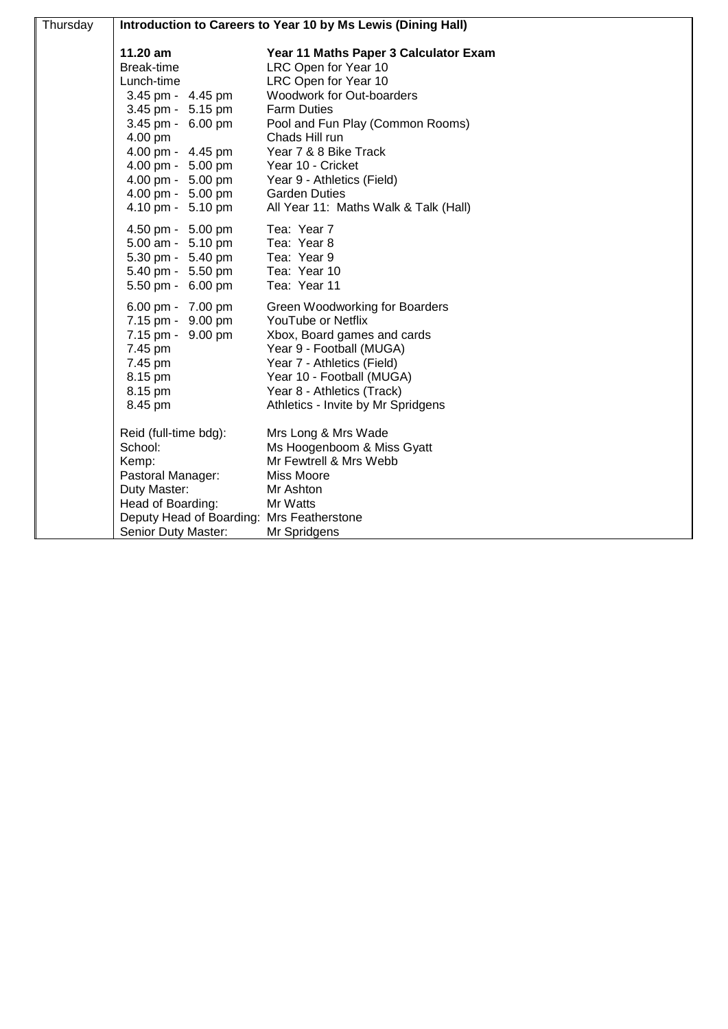| Thursday | Introduction to Careers to Year 10 by Ms Lewis (Dining Hall)                                                                                                                                                            |                                                                                                                                                                                                                                                                                                                                             |
|----------|-------------------------------------------------------------------------------------------------------------------------------------------------------------------------------------------------------------------------|---------------------------------------------------------------------------------------------------------------------------------------------------------------------------------------------------------------------------------------------------------------------------------------------------------------------------------------------|
|          | 11.20 am<br>Break-time<br>Lunch-time<br>3.45 pm - 4.45 pm<br>3.45 pm - 5.15 pm<br>3.45 pm - 6.00 pm<br>4.00 pm<br>4.00 pm - 4.45 pm<br>4.00 pm - 5.00 pm<br>4.00 pm - 5.00 pm<br>4.00 pm - 5.00 pm<br>4.10 pm - 5.10 pm | Year 11 Maths Paper 3 Calculator Exam<br>LRC Open for Year 10<br>LRC Open for Year 10<br>Woodwork for Out-boarders<br><b>Farm Duties</b><br>Pool and Fun Play (Common Rooms)<br>Chads Hill run<br>Year 7 & 8 Bike Track<br>Year 10 - Cricket<br>Year 9 - Athletics (Field)<br><b>Garden Duties</b><br>All Year 11: Maths Walk & Talk (Hall) |
|          | 4.50 pm - 5.00 pm<br>5.00 am - 5.10 pm<br>5.30 pm - 5.40 pm<br>5.40 pm - 5.50 pm<br>5.50 pm - 6.00 pm                                                                                                                   | Tea: Year 7<br>Tea: Year 8<br>Tea: Year 9<br>Tea: Year 10<br>Tea: Year 11                                                                                                                                                                                                                                                                   |
|          | 6.00 pm - 7.00 pm<br>7.15 pm - 9.00 pm<br>7.15 pm - 9.00 pm<br>7.45 pm<br>7.45 pm<br>8.15 pm<br>8.15 pm<br>8.45 pm                                                                                                      | Green Woodworking for Boarders<br>YouTube or Netflix<br>Xbox, Board games and cards<br>Year 9 - Football (MUGA)<br>Year 7 - Athletics (Field)<br>Year 10 - Football (MUGA)<br>Year 8 - Athletics (Track)<br>Athletics - Invite by Mr Spridgens                                                                                              |
|          | Reid (full-time bdg):<br>School:<br>Kemp:<br>Pastoral Manager:<br>Duty Master:<br>Head of Boarding:<br>Deputy Head of Boarding: Mrs Featherstone<br>Senior Duty Master:                                                 | Mrs Long & Mrs Wade<br>Ms Hoogenboom & Miss Gyatt<br>Mr Fewtrell & Mrs Webb<br>Miss Moore<br>Mr Ashton<br>Mr Watts<br>Mr Spridgens                                                                                                                                                                                                          |